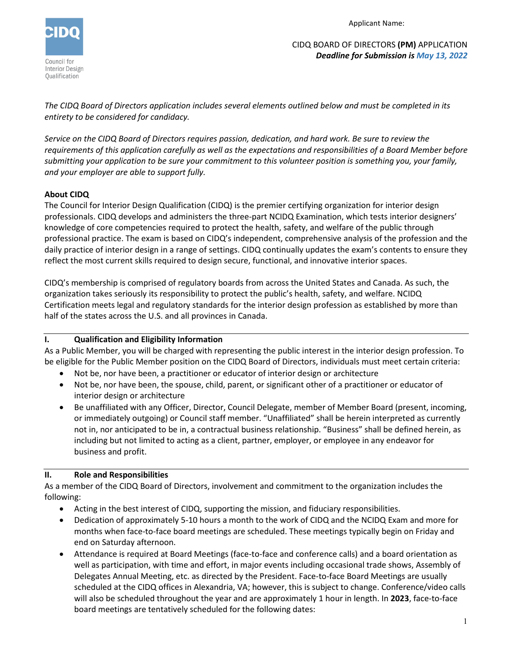

Applicant Name:

CIDQ BOARD OF DIRECTORS **(PM)** APPLICATION *Deadline for Submission is May 13, 2022*

*The CIDQ Board of Directors application includes several elements outlined below and must be completed in its entirety to be considered for candidacy.* 

*Service on the CIDQ Board of Directors requires passion, dedication, and hard work. Be sure to review the requirements of this application carefully as well as the expectations and responsibilities of a Board Member before submitting your application to be sure your commitment to this volunteer position is something you, your family, and your employer are able to support fully.* 

# **About CIDQ**

The Council for Interior Design Qualification (CIDQ) is the premier certifying organization for interior design professionals. CIDQ develops and administers the three-part NCIDQ Examination, which tests interior designers' knowledge of core competencies required to protect the health, safety, and welfare of the public through professional practice. The exam is based on CIDQ's independent, comprehensive analysis of the profession and the daily practice of interior design in a range of settings. CIDQ continually updates the exam's contents to ensure they reflect the most current skills required to design secure, functional, and innovative interior spaces.

CIDQ's membership is comprised of regulatory boards from across the United States and Canada. As such, the organization takes seriously its responsibility to protect the public's health, safety, and welfare. NCIDQ Certification meets legal and regulatory standards for the interior design profession as established by more than half of the states across the U.S. and all provinces in Canada.

# **I. Qualification and Eligibility Information**

As a Public Member, you will be charged with representing the public interest in the interior design profession. To be eligible for the Public Member position on the CIDQ Board of Directors, individuals must meet certain criteria:

- Not be, nor have been, a practitioner or educator of interior design or architecture
- Not be, nor have been, the spouse, child, parent, or significant other of a practitioner or educator of interior design or architecture
- Be unaffiliated with any Officer, Director, Council Delegate, member of Member Board (present, incoming, or immediately outgoing) or Council staff member. "Unaffiliated" shall be herein interpreted as currently not in, nor anticipated to be in, a contractual business relationship. "Business" shall be defined herein, as including but not limited to acting as a client, partner, employer, or employee in any endeavor for business and profit.

# **II. Role and Responsibilities**

As a member of the CIDQ Board of Directors, involvement and commitment to the organization includes the following:

- Acting in the best interest of CIDQ, supporting the mission, and fiduciary responsibilities.
- Dedication of approximately 5-10 hours a month to the work of CIDQ and the NCIDQ Exam and more for months when face-to-face board meetings are scheduled. These meetings typically begin on Friday and end on Saturday afternoon.
- Attendance is required at Board Meetings (face-to-face and conference calls) and a board orientation as well as participation, with time and effort, in major events including occasional trade shows, Assembly of Delegates Annual Meeting, etc. as directed by the President. Face-to-face Board Meetings are usually scheduled at the CIDQ offices in Alexandria, VA; however, this is subject to change. Conference/video calls will also be scheduled throughout the year and are approximately 1 hour in length. In **2023**, face-to-face board meetings are tentatively scheduled for the following dates: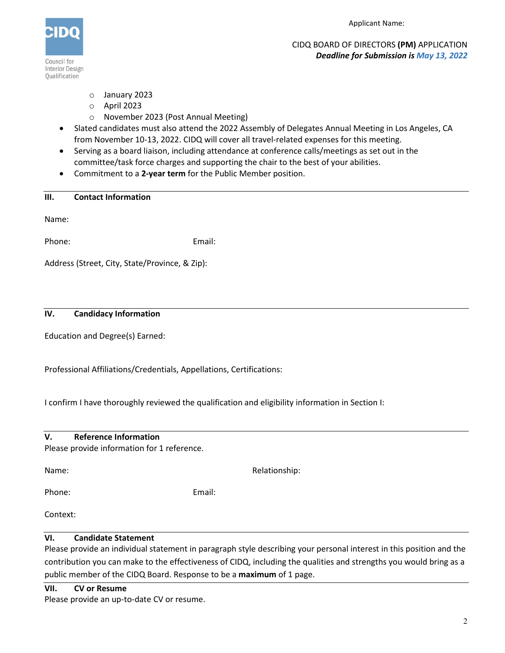

CIDQ BOARD OF DIRECTORS **(PM)** APPLICATION *Deadline for Submission is May 13, 2022*

- o January 2023
- o April 2023
- o November 2023 (Post Annual Meeting)
- Slated candidates must also attend the 2022 Assembly of Delegates Annual Meeting in Los Angeles, CA from November 10-13, 2022. CIDQ will cover all travel-related expenses for this meeting.
- Serving as a board liaison, including attendance at conference calls/meetings as set out in the committee/task force charges and supporting the chair to the best of your abilities.
- Commitment to a **2-year term** for the Public Member position.

| <b>Contact Information</b><br>Ш. |
|----------------------------------|
|----------------------------------|

Name:

Phone: Email:

Address (Street, City, State/Province, & Zip):

# **IV. Candidacy Information**

Education and Degree(s) Earned:

Professional Affiliations/Credentials, Appellations, Certifications:

I confirm I have thoroughly reviewed the qualification and eligibility information in Section I:

| <b>Reference Information</b><br>v. |  |
|------------------------------------|--|
|------------------------------------|--|

Please provide information for 1 reference.

| Name:  |        |
|--------|--------|
| Phone: | Email: |

Context:

# **VI. Candidate Statement**

Please provide an individual statement in paragraph style describing your personal interest in this position and the contribution you can make to the effectiveness of CIDQ, including the qualities and strengths you would bring as a public member of the CIDQ Board. Response to be a **maximum** of 1 page.

Relationship:

**VII. CV or Resume**

Please provide an up-to-date CV or resume.